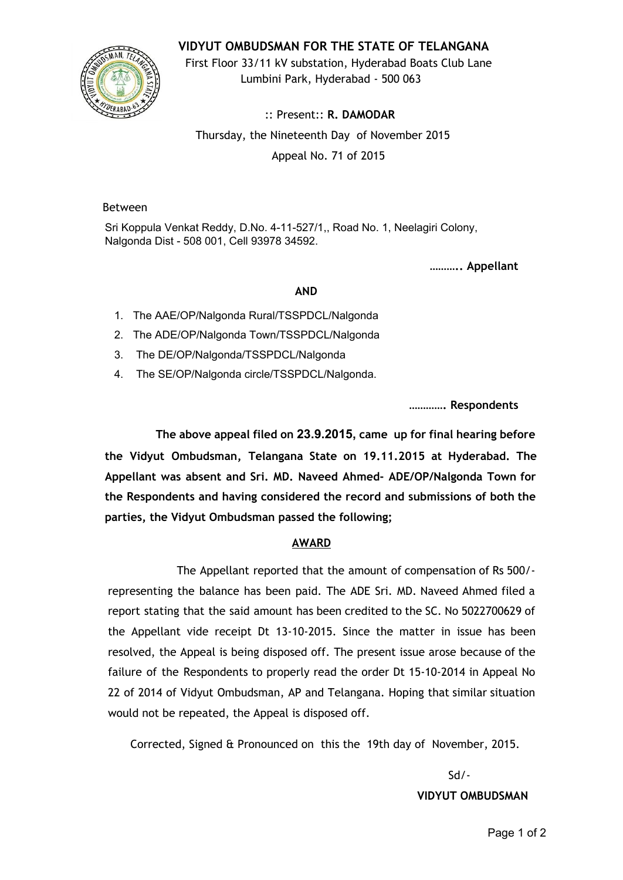### **VIDYUT OMBUDSMAN FOR THE STATE OF TELANGANA**



First Floor 33/11 kV substation, Hyderabad Boats Club Lane Lumbini Park, Hyderabad - 500 063

:: Present:: **R. DAMODAR** Thursday, the Nineteenth Day of November 2015 Appeal No. 71 of 2015

#### Between

Sri Koppula Venkat Reddy, D.No. 4-11-527/1,, Road No. 1, Neelagiri Colony, Nalgonda Dist - 508 001, Cell 93978 34592.

**……….. Appellant**

#### **AND**

1. The AAE/OP/Nalgonda Rural/TSSPDCL/Nalgonda

2. The ADE/OP/Nalgonda Town/TSSPDCL/Nalgonda

3. The DE/OP/Nalgonda/TSSPDCL/Nalgonda

4. The SE/OP/Nalgonda circle/TSSPDCL/Nalgonda.

**…………. Respondents**

**The above appeal filed on 23.9.2015, came up for final hearing before the Vidyut Ombudsman, Telangana State on 19.11.2015 at Hyderabad. The Appellant was absent and Sri. MD. Naveed Ahmed- ADE/OP/Nalgonda Town for the Respondents and having considered the record and submissions of both the parties, the Vidyut Ombudsman passed the following;**

## **AWARD**

The Appellant reported that the amount of compensation of Rs 500/ representing the balance has been paid. The ADE Sri. MD. Naveed Ahmed filed a report stating that the said amount has been credited to the SC. No 5022700629 of the Appellant vide receipt Dt 13-10-2015. Since the matter in issue has been resolved, the Appeal is being disposed off. The present issue arose because of the failure of the Respondents to properly read the order Dt 15-10-2014 in Appeal No 22 of 2014 of Vidyut Ombudsman, AP and Telangana. Hoping that similar situation would not be repeated, the Appeal is disposed off.

Corrected, Signed & Pronounced on this the 19th day of November, 2015.

Sd/- **VIDYUT OMBUDSMAN**